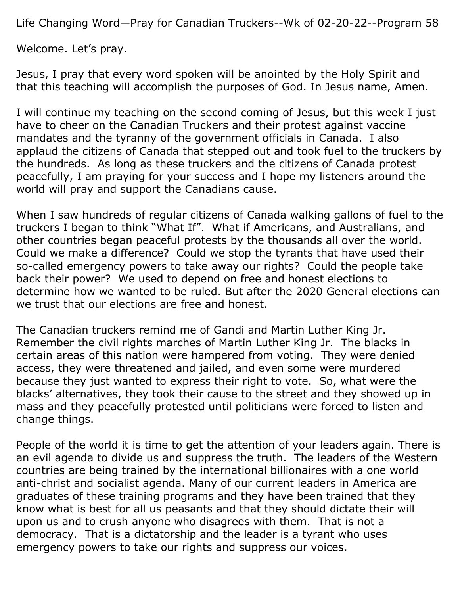Life Changing Word—Pray for Canadian Truckers--Wk of 02-20-22--Program 58

Welcome. Let's pray.

Jesus, I pray that every word spoken will be anointed by the Holy Spirit and that this teaching will accomplish the purposes of God. In Jesus name, Amen.

I will continue my teaching on the second coming of Jesus, but this week I just have to cheer on the Canadian Truckers and their protest against vaccine mandates and the tyranny of the government officials in Canada. I also applaud the citizens of Canada that stepped out and took fuel to the truckers by the hundreds. As long as these truckers and the citizens of Canada protest peacefully, I am praying for your success and I hope my listeners around the world will pray and support the Canadians cause.

When I saw hundreds of regular citizens of Canada walking gallons of fuel to the truckers I began to think "What If". What if Americans, and Australians, and other countries began peaceful protests by the thousands all over the world. Could we make a difference? Could we stop the tyrants that have used their so-called emergency powers to take away our rights? Could the people take back their power? We used to depend on free and honest elections to determine how we wanted to be ruled. But after the 2020 General elections can we trust that our elections are free and honest.

The Canadian truckers remind me of Gandi and Martin Luther King Jr. Remember the civil rights marches of Martin Luther King Jr. The blacks in certain areas of this nation were hampered from voting. They were denied access, they were threatened and jailed, and even some were murdered because they just wanted to express their right to vote. So, what were the blacks' alternatives, they took their cause to the street and they showed up in mass and they peacefully protested until politicians were forced to listen and change things.

People of the world it is time to get the attention of your leaders again. There is an evil agenda to divide us and suppress the truth. The leaders of the Western countries are being trained by the international billionaires with a one world anti-christ and socialist agenda. Many of our current leaders in America are graduates of these training programs and they have been trained that they know what is best for all us peasants and that they should dictate their will upon us and to crush anyone who disagrees with them. That is not a democracy. That is a dictatorship and the leader is a tyrant who uses emergency powers to take our rights and suppress our voices.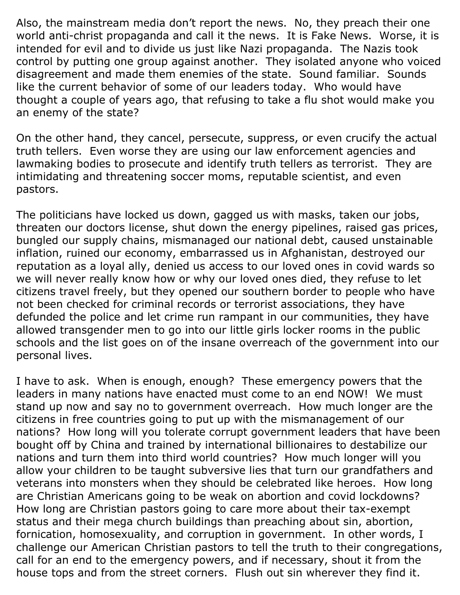Also, the mainstream media don't report the news. No, they preach their one world anti-christ propaganda and call it the news. It is Fake News. Worse, it is intended for evil and to divide us just like Nazi propaganda. The Nazis took control by putting one group against another. They isolated anyone who voiced disagreement and made them enemies of the state. Sound familiar. Sounds like the current behavior of some of our leaders today. Who would have thought a couple of years ago, that refusing to take a flu shot would make you an enemy of the state?

On the other hand, they cancel, persecute, suppress, or even crucify the actual truth tellers. Even worse they are using our law enforcement agencies and lawmaking bodies to prosecute and identify truth tellers as terrorist. They are intimidating and threatening soccer moms, reputable scientist, and even pastors.

The politicians have locked us down, gagged us with masks, taken our jobs, threaten our doctors license, shut down the energy pipelines, raised gas prices, bungled our supply chains, mismanaged our national debt, caused unstainable inflation, ruined our economy, embarrassed us in Afghanistan, destroyed our reputation as a loyal ally, denied us access to our loved ones in covid wards so we will never really know how or why our loved ones died, they refuse to let citizens travel freely, but they opened our southern border to people who have not been checked for criminal records or terrorist associations, they have defunded the police and let crime run rampant in our communities, they have allowed transgender men to go into our little girls locker rooms in the public schools and the list goes on of the insane overreach of the government into our personal lives.

I have to ask. When is enough, enough? These emergency powers that the leaders in many nations have enacted must come to an end NOW! We must stand up now and say no to government overreach. How much longer are the citizens in free countries going to put up with the mismanagement of our nations? How long will you tolerate corrupt government leaders that have been bought off by China and trained by international billionaires to destabilize our nations and turn them into third world countries? How much longer will you allow your children to be taught subversive lies that turn our grandfathers and veterans into monsters when they should be celebrated like heroes. How long are Christian Americans going to be weak on abortion and covid lockdowns? How long are Christian pastors going to care more about their tax-exempt status and their mega church buildings than preaching about sin, abortion, fornication, homosexuality, and corruption in government. In other words, I challenge our American Christian pastors to tell the truth to their congregations, call for an end to the emergency powers, and if necessary, shout it from the house tops and from the street corners. Flush out sin wherever they find it.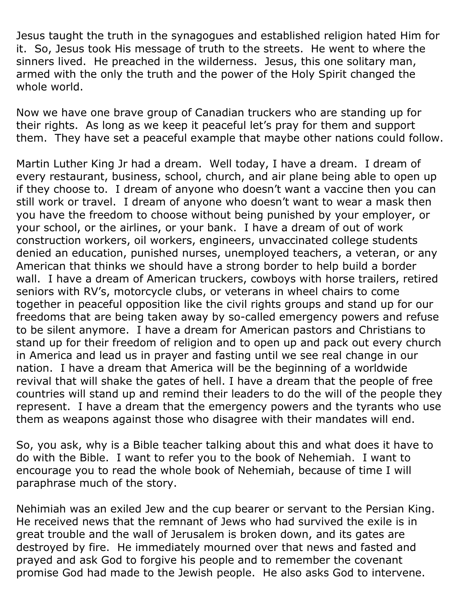Jesus taught the truth in the synagogues and established religion hated Him for it. So, Jesus took His message of truth to the streets. He went to where the sinners lived. He preached in the wilderness. Jesus, this one solitary man, armed with the only the truth and the power of the Holy Spirit changed the whole world.

Now we have one brave group of Canadian truckers who are standing up for their rights. As long as we keep it peaceful let's pray for them and support them. They have set a peaceful example that maybe other nations could follow.

Martin Luther King Jr had a dream. Well today, I have a dream. I dream of every restaurant, business, school, church, and air plane being able to open up if they choose to. I dream of anyone who doesn't want a vaccine then you can still work or travel. I dream of anyone who doesn't want to wear a mask then you have the freedom to choose without being punished by your employer, or your school, or the airlines, or your bank. I have a dream of out of work construction workers, oil workers, engineers, unvaccinated college students denied an education, punished nurses, unemployed teachers, a veteran, or any American that thinks we should have a strong border to help build a border wall. I have a dream of American truckers, cowboys with horse trailers, retired seniors with RV's, motorcycle clubs, or veterans in wheel chairs to come together in peaceful opposition like the civil rights groups and stand up for our freedoms that are being taken away by so-called emergency powers and refuse to be silent anymore. I have a dream for American pastors and Christians to stand up for their freedom of religion and to open up and pack out every church in America and lead us in prayer and fasting until we see real change in our nation. I have a dream that America will be the beginning of a worldwide revival that will shake the gates of hell. I have a dream that the people of free countries will stand up and remind their leaders to do the will of the people they represent. I have a dream that the emergency powers and the tyrants who use them as weapons against those who disagree with their mandates will end.

So, you ask, why is a Bible teacher talking about this and what does it have to do with the Bible. I want to refer you to the book of Nehemiah. I want to encourage you to read the whole book of Nehemiah, because of time I will paraphrase much of the story.

Nehimiah was an exiled Jew and the cup bearer or servant to the Persian King. He received news that the remnant of Jews who had survived the exile is in great trouble and the wall of Jerusalem is broken down, and its gates are destroyed by fire. He immediately mourned over that news and fasted and prayed and ask God to forgive his people and to remember the covenant promise God had made to the Jewish people. He also asks God to intervene.